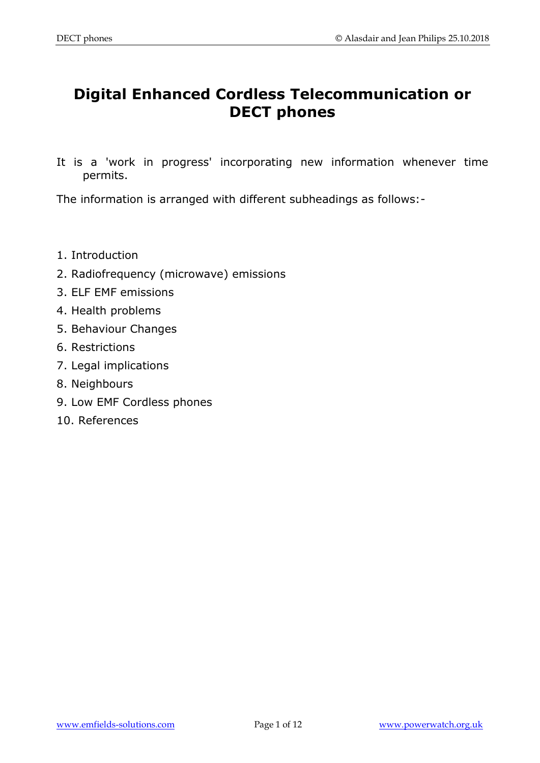# **Digital Enhanced Cordless Telecommunication or DECT phones**

It is a 'work in progress' incorporating new information whenever time permits.

The information is arranged with different subheadings as follows:-

- 1. Introduction
- 2. Radiofrequency (microwave) emissions
- 3. ELF EMF emissions
- 4. Health problems
- 5. Behaviour Changes
- 6. Restrictions
- 7. Legal implications
- 8. Neighbours
- 9. Low EMF Cordless phones
- 10. References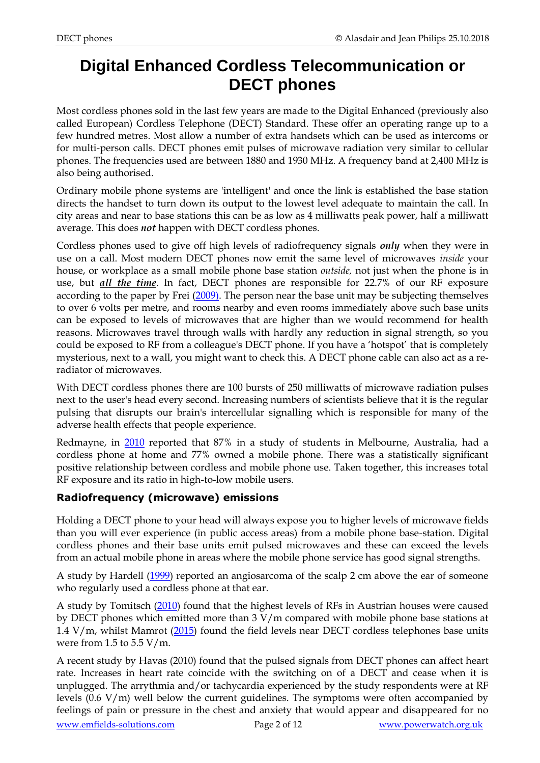# **Digital Enhanced Cordless Telecommunication or DECT phones**

Most cordless phones sold in the last few years are made to the Digital Enhanced (previously also called European) Cordless Telephone (DECT) Standard. These offer an operating range up to a few hundred metres. Most allow a number of extra handsets which can be used as intercoms or for multi-person calls. DECT phones emit pulses of microwave radiation very similar to cellular phones. The frequencies used are between 1880 and 1930 MHz. A frequency band at 2,400 MHz is also being authorised.

Ordinary mobile phone systems are 'intelligent' and once the link is established the base station directs the handset to turn down its output to the lowest level adequate to maintain the call. In city areas and near to base stations this can be as low as 4 milliwatts peak power, half a milliwatt average. This does *not* happen with DECT cordless phones.

Cordless phones used to give off high levels of radiofrequency signals *only* when they were in use on a call. Most modern DECT phones now emit the same level of microwaves *inside* your house, or workplace as a small mobile phone base station *outside,* not just when the phone is in use, but *all the time*. In fact, DECT phones are responsible for 22.7% of our RF exposure according to the paper by Frei [\(2009\).](http://www.ncbi.nlm.nih.gov/pubmed/19476932) The person near the base unit may be subjecting themselves to over 6 volts per metre, and rooms nearby and even rooms immediately above such base units can be exposed to levels of microwaves that are higher than we would recommend for health reasons. Microwaves travel through walls with hardly any reduction in signal strength, so you could be exposed to RF from a colleague's DECT phone. If you have a 'hotspot' that is completely mysterious, next to a wall, you might want to check this. A DECT phone cable can also act as a reradiator of microwaves.

With DECT cordless phones there are 100 bursts of 250 milliwatts of microwave radiation pulses next to the user's head every second. Increasing numbers of scientists believe that it is the regular pulsing that disrupts our brain's intercellular signalling which is responsible for many of the adverse health effects that people experience.

Redmayne, in [2010](https://www.ncbi.nlm.nih.gov/pubmed/20383359) reported that 87% in a study of students in Melbourne, Australia, had a cordless phone at home and 77% owned a mobile phone. There was a statistically significant positive relationship between cordless and mobile phone use. Taken together, this increases total RF exposure and its ratio in high-to-low mobile users.

## **Radiofrequency (microwave) emissions**

Holding a DECT phone to your head will always expose you to higher levels of microwave fields than you will ever experience (in public access areas) from a mobile phone base-station. Digital cordless phones and their base units emit pulsed microwaves and these can exceed the levels from an actual mobile phone in areas where the mobile phone service has good signal strengths.

A study by Hardell [\(1999\)](https://www.ncbi.nlm.nih.gov/pubmed/10535800) reported an angiosarcoma of the scalp 2 cm above the ear of someone who regularly used a cordless phone at that ear.

A study by Tomitsch [\(2010\)](http://www.ncbi.nlm.nih.gov/pubmed/19780092) found that the highest levels of RFs in Austrian houses were caused by DECT phones which emitted more than 3 V/m compared with mobile phone base stations at 1.4 V/m, whilst Mamrot [\(2015\)](http://www.ncbi.nlm.nih.gov/pubmed/26674167) found the field levels near DECT cordless telephones base units were from 1.5 to  $5.5$  V/m.

A recent study by Havas (2010) found that the pulsed signals from DECT phones can affect heart rate. Increases in heart rate coincide with the switching on of a DECT and cease when it is unplugged. The arrythmia and/or tachycardia experienced by the study respondents were at RF levels (0.6 V/m) well below the current guidelines. The symptoms were often accompanied by feelings of pain or pressure in the chest and anxiety that would appear and disappeared for no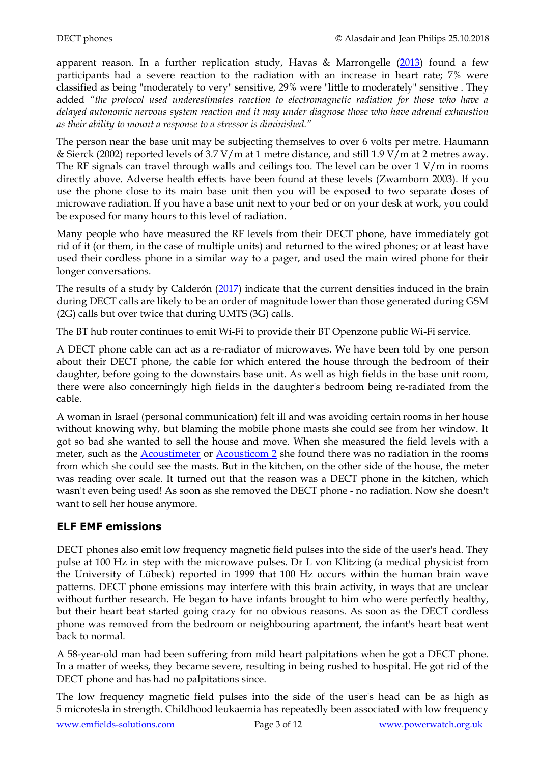apparent reason. In a further replication study, Havas & Marrongelle [\(2013\)](http://www.ncbi.nlm.nih.gov/pubmed/23675629) found a few participants had a severe reaction to the radiation with an increase in heart rate; 7% were classified as being "moderately to very" sensitive, 29% were "little to moderately" sensitive . They added *"the protocol used underestimates reaction to electromagnetic radiation for those who have a delayed autonomic nervous system reaction and it may under diagnose those who have adrenal exhaustion as their ability to mount a response to a stressor is diminished."*

The person near the base unit may be subjecting themselves to over 6 volts per metre. Haumann & Sierck (2002) reported levels of 3.7 V/m at 1 metre distance, and still 1.9 V/m at 2 metres away. The RF signals can travel through walls and ceilings too. The level can be over 1 V/m in rooms directly above. Adverse health effects have been found at these levels (Zwamborn 2003). If you use the phone close to its main base unit then you will be exposed to two separate doses of microwave radiation. If you have a base unit next to your bed or on your desk at work, you could be exposed for many hours to this level of radiation.

Many people who have measured the RF levels from their DECT phone, have immediately got rid of it (or them, in the case of multiple units) and returned to the wired phones; or at least have used their cordless phone in a similar way to a pager, and used the main wired phone for their longer conversations.

The results of a study by Calderón [\(2017\)](https://www.ncbi.nlm.nih.gov/pubmed/28126406) indicate that the current densities induced in the brain during DECT calls are likely to be an order of magnitude lower than those generated during GSM (2G) calls but over twice that during UMTS (3G) calls.

The BT hub router continues to emit Wi-Fi to provide their BT Openzone public Wi-Fi service.

A DECT phone cable can act as a re-radiator of microwaves. We have been told by one person about their DECT phone, the cable for which entered the house through the bedroom of their daughter, before going to the downstairs base unit. As well as high fields in the base unit room, there were also concerningly high fields in the daughter's bedroom being re-radiated from the cable.

A woman in Israel (personal communication) felt ill and was avoiding certain rooms in her house without knowing why, but blaming the mobile phone masts she could see from her window. It got so bad she wanted to sell the house and move. When she measured the field levels with a meter, such as the [Acoustimeter](http://www.emfields-solutions.com/detectors/acoustimeter.asp) or [Acousticom 2](http://www.emfields-solutions.com/detectors/acousticom-2.asp) she found there was no radiation in the rooms from which she could see the masts. But in the kitchen, on the other side of the house, the meter was reading over scale. It turned out that the reason was a DECT phone in the kitchen, which wasn't even being used! As soon as she removed the DECT phone - no radiation. Now she doesn't want to sell her house anymore.

#### **ELF EMF emissions**

DECT phones also emit low frequency magnetic field pulses into the side of the user's head. They pulse at 100 Hz in step with the microwave pulses. Dr L von Klitzing (a medical physicist from the University of Lübeck) reported in 1999 that 100 Hz occurs within the human brain wave patterns. DECT phone emissions may interfere with this brain activity, in ways that are unclear without further research. He began to have infants brought to him who were perfectly healthy, but their heart beat started going crazy for no obvious reasons. As soon as the DECT cordless phone was removed from the bedroom or neighbouring apartment, the infant's heart beat went back to normal.

A 58-year-old man had been suffering from mild heart palpitations when he got a DECT phone. In a matter of weeks, they became severe, resulting in being rushed to hospital. He got rid of the DECT phone and has had no palpitations since.

The low frequency magnetic field pulses into the side of the user's head can be as high as 5 microtesla in strength. Childhood leukaemia has repeatedly been associated with low frequency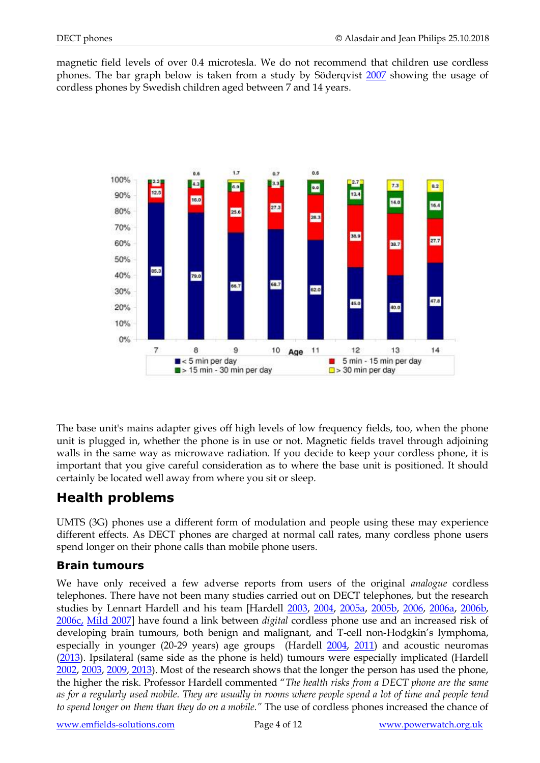magnetic field levels of over 0.4 microtesla. We do not recommend that children use cordless phones. The bar graph below is taken from a study by Söderqvist [2007](http://www.pubmedcentral.nih.gov/articlerender.fcgi?tool=pubmed&pubmedid=17561999) showing the usage of cordless phones by Swedish children aged between 7 and 14 years.



The base unit's mains adapter gives off high levels of low frequency fields, too, when the phone unit is plugged in, whether the phone is in use or not. Magnetic fields travel through adjoining walls in the same way as microwave radiation. If you decide to keep your cordless phone, it is important that you give careful consideration as to where the base unit is positioned. It should certainly be located well away from where you sit or sleep.

## **Health problems**

UMTS (3G) phones use a different form of modulation and people using these may experience different effects. As DECT phones are charged at normal call rates, many cordless phone users spend longer on their phone calls than mobile phone users.

## **Brain tumours**

We have only received a few adverse reports from users of the original *analogue* cordless telephones. There have not been many studies carried out on DECT telephones, but the research studies by Lennart Hardell and his team [Hardell [2003,](http://www.ncbi.nlm.nih.gov/sites/entrez?Db=pubmed&Cmd=ShowDetailView&TermToSearch=12527940&ordinalpos=22&itool=EntrezSystem2.PEntrez.Pubmed.Pubmed_ResultsPanel.Pubmed_RVDocSum) [2004,](http://www.ncbi.nlm.nih.gov/sites/entrez?Db=pubmed&Cmd=ShowDetailView&TermToSearch=16121902&ordinalpos=13&itool=EntrezSystem2.PEntrez.Pubmed.Pubmed_ResultsPanel.Pubmed_RVDocSum) [2005a,](http://www.ncbi.nlm.nih.gov/sites/entrez?Db=pubmed&Cmd=ShowDetailView&TermToSearch=16001209&ordinalpos=15&itool=EntrezSystem2.PEntrez.Pubmed.Pubmed_ResultsPanel.Pubmed_RVDocSum) [2005b,](http://www.ncbi.nlm.nih.gov/sites/entrez?Db=pubmed&Cmd=ShowDetailView&TermToSearch=15956809&ordinalpos=16&itool=EntrezSystem2.PEntrez.Pubmed.Pubmed_ResultsPanel.Pubmed_RVDocSum) [2006,](https://www.ncbi.nlm.nih.gov/pubmed/16023098) [2006a,](http://www.ncbi.nlm.nih.gov/sites/entrez?Db=pubmed&Cmd=ShowDetailView&TermToSearch=17034627&ordinalpos=6&itool=EntrezSystem2.PEntrez.Pubmed.Pubmed_ResultsPanel.Pubmed_RVDocSum) [2006b,](http://www.ncbi.nlm.nih.gov/sites/entrez?Db=pubmed&Cmd=ShowDetailView&TermToSearch=16541280&ordinalpos=9&itool=EntrezSystem2.PEntrez.Pubmed.Pubmed_ResultsPanel.Pubmed_RVDocSum) [2006c,](http://www.ncbi.nlm.nih.gov/sites/entrez?Db=pubmed&Cmd=ShowDetailView&TermToSearch=16391807&ordinalpos=11&itool=EntrezSystem2.PEntrez.Pubmed.Pubmed_ResultsPanel.Pubmed_RVDocSum) [Mild 2007\]](http://www.ncbi.nlm.nih.gov/sites/entrez?Db=pubmed&Cmd=ShowDetailView&TermToSearch=17362659&ordinalpos=2&itool=EntrezSystem2.PEntrez.Pubmed.Pubmed_ResultsPanel.Pubmed_RVDocSum) have found a link between *digital* cordless phone use and an increased risk of developing brain tumours, both benign and malignant, and T-cell non-Hodgkin's lymphoma, especially in younger (20-29 years) age groups (Hardell [2004,](http://www.ncbi.nlm.nih.gov/sites/entrez?Db=pubmed&Cmd=ShowDetailView&TermToSearch=16121902&ordinalpos=13&itool=EntrezSystem2.PEntrez.Pubmed.Pubmed_ResultsPanel.Pubmed_RVDocSum) [2011\)](https://www.ncbi.nlm.nih.gov/pubmed/21331446) and acoustic neuromas [\(2013\)](https://www.ncbi.nlm.nih.gov/pubmed/23261330). Ipsilateral (same side as the phone is held) tumours were especially implicated (Hardell [2002,](http://www.ncbi.nlm.nih.gov/sites/entrez?Db=pubmed&Cmd=ShowDetailView&TermToSearch=12465658&ordinalpos=15&itool=EntrezSystem2.PEntrez.Pubmed.Pubmed_ResultsPanel.Pubmed_RVDocSum) [2003,](http://www.ncbi.nlm.nih.gov/sites/entrez?Db=pubmed&Cmd=ShowDetailView&TermToSearch=12527940&ordinalpos=22&itool=EntrezSystem2.PEntrez.Pubmed.Pubmed_ResultsPanel.Pubmed_RVDocSum) [2009,](http://www.ncbi.nlm.nih.gov/pubmed/19513546) [2013\)](http://www.ncbi.nlm.nih.gov/pubmed/23877578). Most of the research shows that the longer the person has used the phone, the higher the risk. Professor Hardell commented "*The health risks from a DECT phone are the same as for a regularly used mobile. They are usually in rooms where people spend a lot of time and people tend to spend longer on them than they do on a mobile."* The use of cordless phones increased the chance of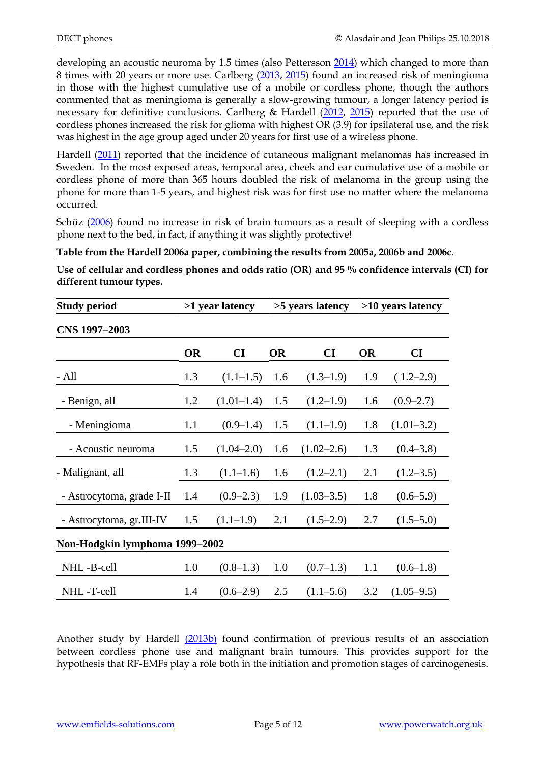developing an acoustic neuroma by 1.5 times (also Pettersson [2014\)](http://www.ncbi.nlm.nih.gov/pubmed/24434752) which changed to more than 8 times with 20 years or more use. Carlberg [\(2013,](http://www.ncbi.nlm.nih.gov/pubmed/23870102) [2015\)](https://www.ncbi.nlm.nih.gov/pubmed/25963528) found an increased risk of meningioma in those with the highest cumulative use of a mobile or cordless phone, though the authors commented that as meningioma is generally a slow-growing tumour, a longer latency period is necessary for definitive conclusions. Carlberg & Hardell [\(2012,](https://www.ncbi.nlm.nih.gov/pubmed/22939605) [2015\)](https://www.ncbi.nlm.nih.gov/pubmed/25466607) reported that the use of cordless phones increased the risk for glioma with highest OR (3.9) for ipsilateral use, and the risk was highest in the age group aged under 20 years for first use of a wireless phone.

Hardell [\(2011\)](http://www.ncbi.nlm.nih.gov/pubmed/21764571) reported that the incidence of cutaneous malignant melanomas has increased in Sweden. In the most exposed areas, temporal area, cheek and ear cumulative use of a mobile or cordless phone of more than 365 hours doubled the risk of melanoma in the group using the phone for more than 1-5 years, and highest risk was for first use no matter where the melanoma occurred.

Schüz [\(2006\)](http://www.ncbi.nlm.nih.gov/pubmed/16808597) found no increase in risk of brain tumours as a result of sleeping with a cordless phone next to the bed, in fact, if anything it was slightly protective!

**Table from the Hardell 2006a paper, combining the results from 2005a, 2006b and 2006c.**

**Use of cellular and cordless phones and odds ratio (OR) and 95 % confidence intervals (CI) for different tumour types.**

| <b>Study period</b>            | >1 year latency |                  | >5 years latency |                | >10 years latency |                        |
|--------------------------------|-----------------|------------------|------------------|----------------|-------------------|------------------------|
| CNS 1997-2003                  |                 |                  |                  |                |                   |                        |
|                                | <b>OR</b>       | CI               | <b>OR</b>        | CI             | <b>OR</b>         | $\mathbf{C}\mathbf{I}$ |
| - All                          | 1.3             | $(1.1-1.5)$      | 1.6              | $(1.3-1.9)$    | 1.9               | $(1.2-2.9)$            |
| - Benign, all                  | 1.2             | $(1.01-1.4)$ 1.5 |                  | (1.2–1.9)      | 1.6               | $(0.9 - 2.7)$          |
| - Meningioma                   | 1.1             | $(0.9-1.4)$      | 1.5              | (1.1–1.9)      | 1.8               | $(1.01 - 3.2)$         |
| - Acoustic neuroma             | 1.5             | $(1.04 - 2.0)$   | 1.6              | $(1.02 - 2.6)$ | 1.3               | $(0.4 - 3.8)$          |
| - Malignant, all               | 1.3             | $(1.1-1.6)$      | 1.6              | $(1.2 - 2.1)$  | 2.1               | $(1.2 - 3.5)$          |
| - Astrocytoma, grade I-II      | 1.4             | $(0.9-2.3)$      | 1.9              | $(1.03 - 3.5)$ | 1.8               | $(0.6-5.9)$            |
| - Astrocytoma, gr.III-IV       | 1.5             | $(1.1-1.9)$      | 2.1              | $(1.5-2.9)$    | 2.7               | $(1.5-5.0)$            |
| Non-Hodgkin lymphoma 1999-2002 |                 |                  |                  |                |                   |                        |
| NHL-B-cell                     | 1.0             | $(0.8-1.3)$      | 1.0              | $(0.7-1.3)$    | 1.1               | $(0.6-1.8)$            |
| NHL-T-cell                     | 1.4             | $(0.6-2.9)$      | 2.5              | $(1.1 - 5.6)$  | 3.2               | $(1.05 - 9.5)$         |

Another study by Hardell [\(2013b\)](http://www.ncbi.nlm.nih.gov/pubmed/24064953f) found confirmation of previous results of an association between cordless phone use and malignant brain tumours. This provides support for the hypothesis that RF-EMFs play a role both in the initiation and promotion stages of carcinogenesis.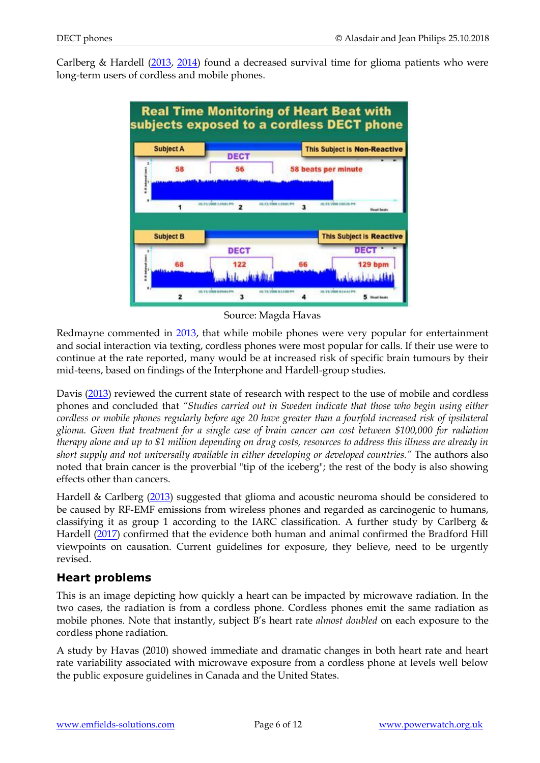Carlberg & Hardell [\(2013,](https://www.ncbi.nlm.nih.gov/pubmed/23095687) [2014\)](http://www.ncbi.nlm.nih.gov/pubmed/25325361) found a decreased survival time for glioma patients who were long-term users of cordless and mobile phones.



#### Source: Magda Havas

Redmayne commented in [2013,](https://www.ncbi.nlm.nih.gov/pubmed/23302218) that while mobile phones were very popular for entertainment and social interaction via texting, cordless phones were most popular for calls. If their use were to continue at the rate reported, many would be at increased risk of specific brain tumours by their mid-teens, based on findings of the Interphone and Hardell-group studies.

Davis [\(2013\)](https://www.ncbi.nlm.nih.gov/pubmed/23664410) reviewed the current state of research with respect to the use of mobile and cordless phones and concluded that *"Studies carried out in Sweden indicate that those who begin using either cordless or mobile phones regularly before age 20 have greater than a fourfold increased risk of ipsilateral glioma. Given that treatment for a single case of brain cancer can cost between \$100,000 for radiation therapy alone and up to \$1 million depending on drug costs, resources to address this illness are already in short supply and not universally available in either developing or developed countries."* The authors also noted that brain cancer is the proverbial "tip of the iceberg"; the rest of the body is also showing effects other than cancers.

Hardell & Carlberg [\(2013\)](https://www.ncbi.nlm.nih.gov/pubmed/24192496) suggested that glioma and acoustic neuroma should be considered to be caused by RF-EMF emissions from wireless phones and regarded as carcinogenic to humans, classifying it as group 1 according to the IARC classification. A further study by Carlberg  $\&$ Hardell [\(2017\)](https://www.ncbi.nlm.nih.gov/pubmed/28401165) confirmed that the evidence both human and animal confirmed the Bradford Hill viewpoints on causation. Current guidelines for exposure, they believe, need to be urgently revised.

#### **Heart problems**

This is an image depicting how quickly a heart can be impacted by microwave radiation. In the two cases, the radiation is from a cordless phone. Cordless phones emit the same radiation as mobile phones. Note that instantly, subject B's heart rate *almost doubled* on each exposure to the cordless phone radiation.

A study by Havas (2010) showed immediate and dramatic changes in both heart rate and heart rate variability associated with microwave exposure from a cordless phone at levels well below the public exposure guidelines in Canada and the United States.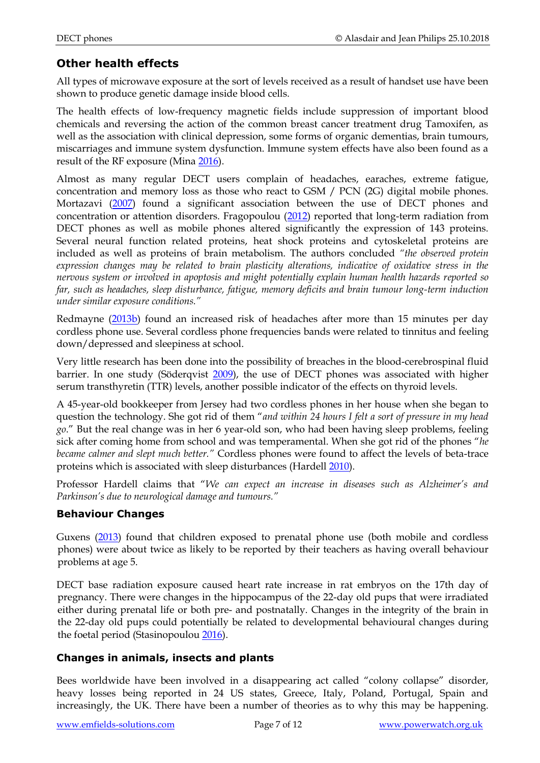## **Other health effects**

All types of microwave exposure at the sort of levels received as a result of handset use have been shown to produce genetic damage inside blood cells.

The health effects of low-frequency magnetic fields include suppression of important blood chemicals and reversing the action of the common breast cancer treatment drug Tamoxifen, as well as the association with clinical depression, some forms of organic dementias, brain tumours, miscarriages and immune system dysfunction. Immune system effects have also been found as a result of the RF exposure (Mina [2016\)](http://www.ncbi.nlm.nih.gov/pubmed/26853383).

Almost as many regular DECT users complain of headaches, earaches, extreme fatigue, concentration and memory loss as those who react to GSM / PCN (2G) digital mobile phones. Mortazavi [\(2007\)](http://www.ncbi.nlm.nih.gov/sites/entrez?Db=pubmed&Cmd=ShowDetailView&TermToSearch=17330851&ordinalpos=3&itool=EntrezSystem2.PEntrez.Pubmed.Pubmed_ResultsPanel.Pubmed_RVDocSum) found a significant association between the use of DECT phones and concentration or attention disorders. Fragopoulou [\(2012\)](http://www.ncbi.nlm.nih.gov/pubmed/22263702) reported that long-term radiation from DECT phones as well as mobile phones altered significantly the expression of 143 proteins. Several neural function related proteins, heat shock proteins and cytoskeletal proteins are included as well as proteins of brain metabolism. The authors concluded *"the observed protein expression changes may be related to brain plasticity alterations, indicative of oxidative stress in the nervous system or involved in apoptosis and might potentially explain human health hazards reported so far, such as headaches, sleep disturbance, fatigue, memory deficits and brain tumour long-term induction under similar exposure conditions."* 

Redmayne [\(2013b\)](https://www.ncbi.nlm.nih.gov/pubmed/24148357) found an increased risk of headaches after more than 15 minutes per day cordless phone use. Several cordless phone frequencies bands were related to tinnitus and feeling down/depressed and sleepiness at school.

Very little research has been done into the possibility of breaches in the blood-cerebrospinal fluid barrier. In one study (Söderqvist [2009\)](http://www.ncbi.nlm.nih.gov/pubmed/19383125), the use of DECT phones was associated with higher serum transthyretin (TTR) levels, another possible indicator of the effects on thyroid levels.

A 45-year-old bookkeeper from Jersey had two cordless phones in her house when she began to question the technology. She got rid of them "*and within 24 hours I felt a sort of pressure in my head go*." But the real change was in her 6 year-old son, who had been having sleep problems, feeling sick after coming home from school and was temperamental. When she got rid of the phones "*he became calmer and slept much better."* Cordless phones were found to affect the levels of beta-trace proteins which is associated with sleep disturbances (Hardel[l 2010\)](https://www.ncbi.nlm.nih.gov/pubmed/20596612).

Professor Hardell claims that "*We can expect an increase in diseases such as Alzheimer's and Parkinson's due to neurological damage and tumours."*

#### **Behaviour Changes**

Guxens [\(2013\)](http://www.ncbi.nlm.nih.gov/pubmed/23386674) found that children exposed to prenatal phone use (both mobile and cordless phones) were about twice as likely to be reported by their teachers as having overall behaviour problems at age 5.

DECT base radiation exposure caused heart rate increase in rat embryos on the 17th day of pregnancy. There were changes in the hippocampus of the 22-day old pups that were irradiated either during prenatal life or both pre- and postnatally. Changes in the integrity of the brain in the 22-day old pups could potentially be related to developmental behavioural changes during the foetal period (Stasinopoulou [2016\)](https://www.ncbi.nlm.nih.gov/pubmed/27544572).

#### **Changes in animals, insects and plants**

Bees worldwide have been involved in a disappearing act called "colony collapse" disorder, heavy losses being reported in 24 US states, Greece, Italy, Poland, Portugal, Spain and increasingly, the UK. There have been a number of theories as to why this may be happening.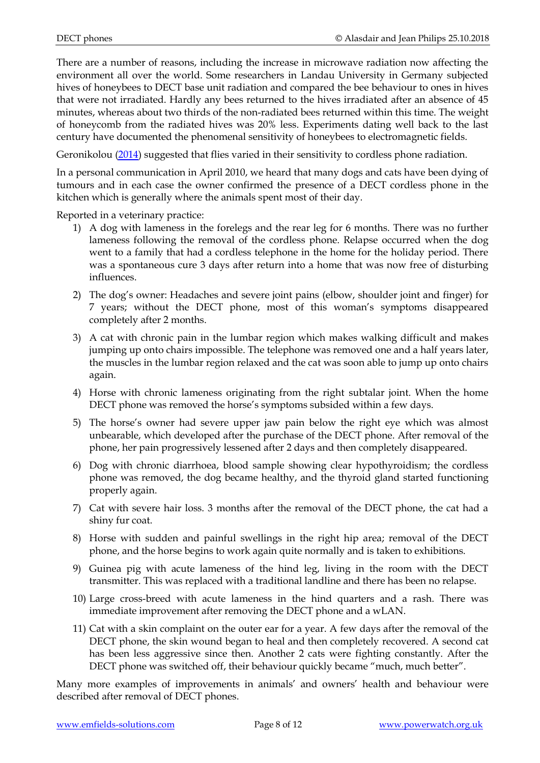There are a number of reasons, including the increase in microwave radiation now affecting the environment all over the world. Some researchers in Landau University in Germany subjected hives of honeybees to DECT base unit radiation and compared the bee behaviour to ones in hives that were not irradiated. Hardly any bees returned to the hives irradiated after an absence of 45 minutes, whereas about two thirds of the non-radiated bees returned within this time. The weight of honeycomb from the radiated hives was 20% less. Experiments dating well back to the last century have documented the phenomenal sensitivity of honeybees to electromagnetic fields.

Geronikolou [\(2014\)](https://www.ncbi.nlm.nih.gov/pubmed/25402465) suggested that flies varied in their sensitivity to cordless phone radiation.

In a personal communication in April 2010, we heard that many dogs and cats have been dying of tumours and in each case the owner confirmed the presence of a DECT cordless phone in the kitchen which is generally where the animals spent most of their day.

Reported in a veterinary practice:

- 1) A dog with lameness in the forelegs and the rear leg for 6 months. There was no further lameness following the removal of the cordless phone. Relapse occurred when the dog went to a family that had a cordless telephone in the home for the holiday period. There was a spontaneous cure 3 days after return into a home that was now free of disturbing influences.
- 2) The dog's owner: Headaches and severe joint pains (elbow, shoulder joint and finger) for 7 years; without the DECT phone, most of this woman's symptoms disappeared completely after 2 months.
- 3) A cat with chronic pain in the lumbar region which makes walking difficult and makes jumping up onto chairs impossible. The telephone was removed one and a half years later, the muscles in the lumbar region relaxed and the cat was soon able to jump up onto chairs again.
- 4) Horse with chronic lameness originating from the right subtalar joint. When the home DECT phone was removed the horse's symptoms subsided within a few days.
- 5) The horse's owner had severe upper jaw pain below the right eye which was almost unbearable, which developed after the purchase of the DECT phone. After removal of the phone, her pain progressively lessened after 2 days and then completely disappeared.
- 6) Dog with chronic diarrhoea, blood sample showing clear hypothyroidism; the cordless phone was removed, the dog became healthy, and the thyroid gland started functioning properly again.
- 7) Cat with severe hair loss. 3 months after the removal of the DECT phone, the cat had a shiny fur coat.
- 8) Horse with sudden and painful swellings in the right hip area; removal of the DECT phone, and the horse begins to work again quite normally and is taken to exhibitions.
- 9) Guinea pig with acute lameness of the hind leg, living in the room with the DECT transmitter. This was replaced with a traditional landline and there has been no relapse.
- 10) Large cross-breed with acute lameness in the hind quarters and a rash. There was immediate improvement after removing the DECT phone and a wLAN.
- 11) Cat with a skin complaint on the outer ear for a year. A few days after the removal of the DECT phone, the skin wound began to heal and then completely recovered. A second cat has been less aggressive since then. Another 2 cats were fighting constantly. After the DECT phone was switched off, their behaviour quickly became "much, much better".

Many more examples of improvements in animals' and owners' health and behaviour were described after removal of DECT phones.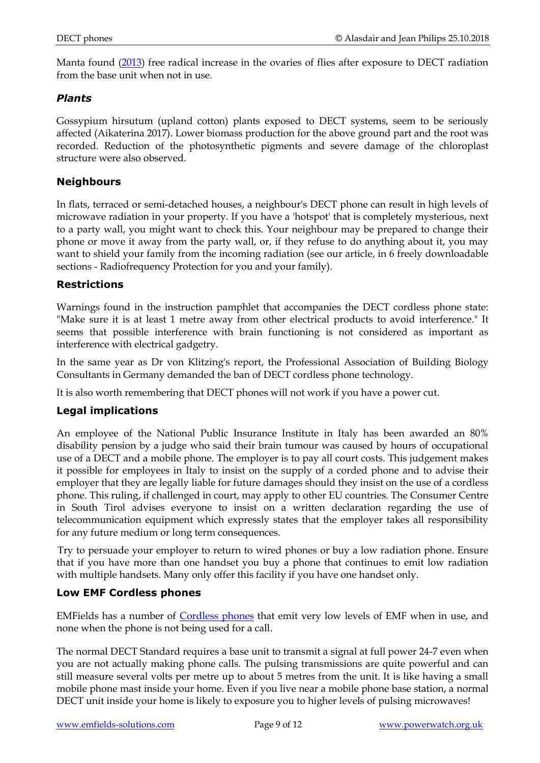Manta found [\(2013\)](http://www.ncbi.nlm.nih.gov/pubmed/23781995) free radical increase in the ovaries of flies after exposure to DECT radiation from the base unit when not in use.

#### *Plants*

Gossypium hirsutum (upland cotton) plants exposed to DECT systems, seem to be seriously affected (Aikaterina 2017). Lower biomass production for the above ground part and the root was recorded. Reduction of the photosynthetic pigments and severe damage of the chloroplast structure were also observed.

#### **Neighbours**

In flats, terraced or semi-detached houses, a neighbour's DECT phone can result in high levels of microwave radiation in your property. If you have a 'hotspot' that is completely mysterious, next to a party wall, you might want to check this. Your neighbour may be prepared to change their phone or move it away from the party wall, or, if they refuse to do anything about it, you may want to shield your family from the incoming radiation (see our article, in 6 freely downloadable sections - Radiofrequency Protection for you and your family).

#### **Restrictions**

Warnings found in the instruction pamphlet that accompanies the DECT cordless phone state: "Make sure it is at least 1 metre away from other electrical products to avoid interference." It seems that possible interference with brain functioning is not considered as important as interference with electrical gadgetry.

In the same year as Dr von Klitzing's report, the Professional Association of Building Biology Consultants in Germany demanded the ban of DECT cordless phone technology.

It is also worth remembering that DECT phones will not work if you have a power cut.

#### **Legal implications**

An employee of the National Public Insurance Institute in Italy has been awarded an 80% disability pension by a judge who said their brain tumour was caused by hours of occupational use of a DECT and a mobile phone. The employer is to pay all court costs. This judgement makes it possible for employees in Italy to insist on the supply of a corded phone and to advise their employer that they are legally liable for future damages should they insist on the use of a cordless phone. This ruling, if challenged in court, may apply to other EU countries. The Consumer Centre in South Tirol advises everyone to insist on a written declaration regarding the use of telecommunication equipment which expressly states that the employer takes all responsibility for any future medium or long term consequences.

Try to persuade your employer to return to wired phones or buy a low radiation phone. Ensure that if you have more than one handset you buy a phone that continues to emit low radiation with multiple handsets. Many only offer this facility if you have one handset only.

#### **Low EMF Cordless phones**

EMFields has a number of [Cordless phones](http://www.emfields-solutions.com/phones/cordless.asp) that emit very low levels of EMF when in use, and none when the phone is not being used for a call.

The normal DECT Standard requires a base unit to transmit a signal at full power 24-7 even when you are not actually making phone calls. The pulsing transmissions are quite powerful and can still measure several volts per metre up to about 5 metres from the unit. It is like having a small mobile phone mast inside your home. Even if you live near a mobile phone base station, a normal DECT unit inside your home is likely to exposure you to higher levels of pulsing microwaves!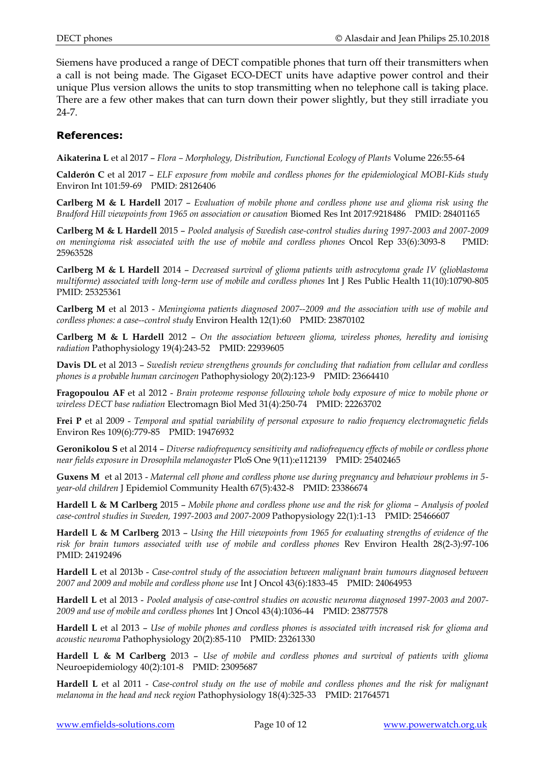Siemens have produced a range of DECT compatible phones that turn off their transmitters when a call is not being made. The Gigaset ECO-DECT units have adaptive power control and their unique Plus version allows the units to stop transmitting when no telephone call is taking place. There are a few other makes that can turn down their power slightly, but they still irradiate you 24-7.

#### **References:**

**Aikaterina L** et al 2017 – *Flora – Morphology, Distribution, Functional Ecology of Plants* Volume 226:55-64

**Calderón C** et al 2017 – *ELF exposure from mobile and cordless phones for the epidemiological MOBI-Kids study*  Environ Int 101:59-69 PMID: 28126406

**Carlberg M & L Hardell** 2017 – *Evaluation of mobile phone and cordless phone use and glioma risk using the Bradford Hill viewpoints from 1965 on association or causation* Biomed Res Int 2017:9218486 PMID: 28401165

**Carlberg M & L Hardell** 2015 – *Pooled analysis of Swedish case-control studies during 1997-2003 and 2007-2009 on meningioma risk associated with the use of mobile and cordless phones* Oncol Rep 33(6):3093-8 PMID: 25963528

**Carlberg M & L Hardell** 2014 – *Decreased survival of glioma patients with astrocytoma grade IV (glioblastoma multiforme) associated with long-term use of mobile and cordless phones* Int J Res Public Health 11(10):10790-805 PMID: 25325361

**Carlberg M** et al 2013 - *Meningioma patients diagnosed 2007--2009 and the association with use of mobile and cordless phones: a case--control study* Environ Health 12(1):60 PMID: 23870102

**Carlberg M & L Hardell** 2012 – *On the association between glioma, wireless phones, heredity and ionising radiation* Pathophysiology 19(4):243-52 PMID: 22939605

**Davis DL** et al 2013 – *Swedish review strengthens grounds for concluding that radiation from cellular and cordless phones is a probable human carcinogen* Pathophysiology 20(2):123-9 PMID: 23664410

**Fragopoulou AF** et al 2012 - *Brain proteome response following whole body exposure of mice to mobile phone or wireless DECT base radiation* Electromagn Biol Med 31(4):250-74 PMID: 22263702

**Frei P** et al 2009 - *Temporal and spatial variability of personal exposure to radio frequency electromagnetic fields*  Environ Res 109(6):779-85 PMID: 19476932

**Geronikolou S** et al 2014 – *Diverse radiofrequency sensitivity and radiofrequency effects of mobile or cordless phone near fields exposure in Drosophila melanogaster* PloS One 9(11):e112139 PMID: 25402465

**Guxens M** et al 2013 - *Maternal cell phone and cordless phone use during pregnancy and behaviour problems in 5 year-old children* J Epidemiol Community Health 67(5):432-8 PMID: 23386674

**Hardell L & M Carlberg** 2015 – *Mobile phone and cordless phone use and the risk for glioma – Analysis of pooled case-control studies in Sweden, 1997-2003 and 2007-2009* Pathopysiology 22(1):1-13 PMID: 25466607

**Hardell L & M Carlberg** 2013 – *Using the Hill viewpoints from 1965 for evaluating strengths of evidence of the risk for brain tumors associated with use of mobile and cordless phones* Rev Environ Health 28(2-3):97-106 PMID: 24192496

**Hardell L** et al 2013b - *Case-control study of the association between malignant brain tumours diagnosed between 2007 and 2009 and mobile and cordless phone use* Int J Oncol 43(6):1833-45 PMID: 24064953

**Hardell L** et al 2013 - *Pooled analysis of case-control studies on acoustic neuroma diagnosed 1997-2003 and 2007- 2009 and use of mobile and cordless phones* Int J Oncol 43(4):1036-44 PMID: 23877578

**Hardell L** et al 2013 – *Use of mobile phones and cordless phones is associated with increased risk for glioma and acoustic neuroma* Pathophysiology 20(2):85-110 PMID: 23261330

**Hardell L & M Carlberg** 2013 – *Use of mobile and cordless phones and survival of patients with glioma*  Neuroepidemiology 40(2):101-8 PMID: 23095687

**Hardell L** et al 2011 - *Case-control study on the use of mobile and cordless phones and the risk for malignant melanoma in the head and neck region* Pathophysiology 18(4):325-33 PMID: 21764571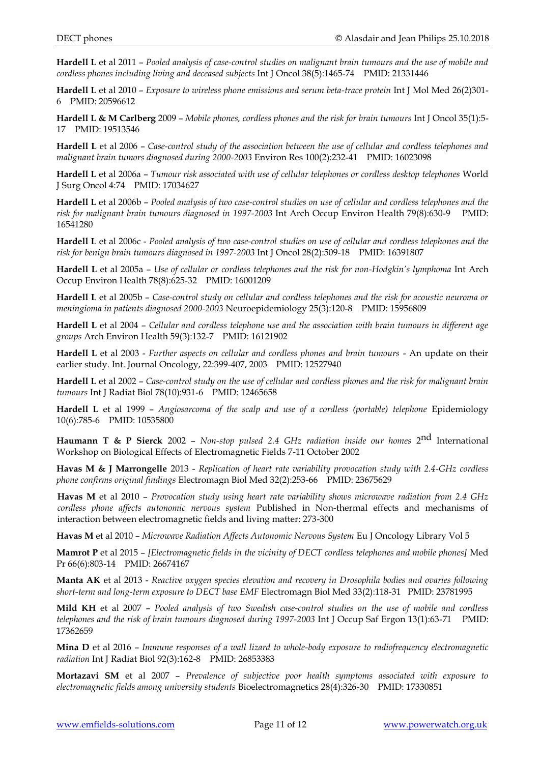**Hardell L** et al 2011 – *Pooled analysis of case-control studies on malignant brain tumours and the use of mobile and cordless phones including living and deceased subjects* Int J Oncol 38(5):1465-74 PMID: 21331446

**Hardell L** et al 2010 – *Exposure to wireless phone emissions and serum beta-trace protein* Int J Mol Med 26(2)301- 6 PMID: 20596612

**Hardell L & M Carlberg** 2009 – *Mobile phones, cordless phones and the risk for brain tumours* Int J Oncol 35(1):5- 17 PMID: 19513546

**Hardell L** et al 2006 – *Case-control study of the association between the use of cellular and cordless telephones and malignant brain tumors diagnosed during 2000-2003* Environ Res 100(2):232-41 PMID: 16023098

**Hardell L** et al 2006a – *Tumour risk associated with use of cellular telephones or cordless desktop telephones* World J Surg Oncol 4:74 PMID: 17034627

**Hardell L** et al 2006b – *Pooled analysis of two case-control studies on use of cellular and cordless telephones and the risk for malignant brain tumours diagnosed in 1997-2003* Int Arch Occup Environ Health 79(8):630-9 PMID: 16541280

**Hardell L** et al 2006c - *Pooled analysis of two case-control studies on use of cellular and cordless telephones and the risk for benign brain tumours diagnosed in 1997-2003* Int J Oncol 28(2):509-18 PMID: 16391807

**Hardell L** et al 2005a – *Use of cellular or cordless telephones and the risk for non-Hodgkin's lymphoma* Int Arch Occup Environ Health 78(8):625-32 PMID: 16001209

**Hardell L** et al 2005b – *Case-control study on cellular and cordless telephones and the risk for acoustic neuroma or meningioma in patients diagnosed 2000-2003* Neuroepidemiology 25(3):120-8 PMID: 15956809

**Hardell L** et al 2004 – *Cellular and cordless telephone use and the association with brain tumours in different age groups* Arch Environ Health 59(3):132-7 PMID: 16121902

**Hardell L** et al 2003 - *Further aspects on cellular and cordless phones and brain tumours* - An update on their earlier study. Int. Journal Oncology, 22:399-407, 2003 PMID: 12527940

**Hardell L** et al 2002 – *Case-control study on the use of cellular and cordless phones and the risk for malignant brain tumours* Int J Radiat Biol 78(10):931-6 PMID: 12465658

**Hardell L** et al 1999 – *Angiosarcoma of the scalp and use of a cordless (portable) telephone* Epidemiology 10(6):785-6 PMID: 10535800

**Haumann T & P Sierck** 2002 – *Non-stop pulsed 2.4 GHz radiation inside our homes* 2<sup>nd</sup> International Workshop on Biological Effects of Electromagnetic Fields 7-11 October 2002

**Havas M & J Marrongelle** 2013 - *Replication of heart rate variability provocation study with 2.4-GHz cordless phone confirms original findings* Electromagn Biol Med 32(2):253-66 PMID: 23675629

**Havas M** et al 2010 – *Provocation study using heart rate variability shows microwave radiation from 2.4 GHz cordless phone affects autonomic nervous system* Published in Non-thermal effects and mechanisms of interaction between electromagnetic fields and living matter: 273-300

**Havas M** et al 2010 – *Microwave Radiation Affects Autonomic Nervous System* Eu J Oncology Library Vol 5

**Mamrot P** et al 2015 – *[Electromagnetic fields in the vicinity of DECT cordless telephones and mobile phones]* Med Pr 66(6):803-14 PMID: 26674167

**Manta AK** et al 2013 - *Reactive oxygen species elevation and recovery in Drosophila bodies and ovaries following short-term and long-term exposure to DECT base EMF* Electromagn Biol Med 33(2):118-31 PMID: 23781995

**Mild KH** et al 2007 – *Pooled analysis of two Swedish case-control studies on the use of mobile and cordless telephones and the risk of brain tumours diagnosed during 1997-2003* Int J Occup Saf Ergon 13(1):63-71 PMID: 17362659

**Mina D** et al 2016 – *Immune responses of a wall lizard to whole-body exposure to radiofrequency electromagnetic radiation* Int J Radiat Biol 92(3):162-8 PMID: 26853383

**Mortazavi SM** et al 2007 – *Prevalence of subjective poor health symptoms associated with exposure to electromagnetic fields among university students* Bioelectromagnetics 28(4):326-30 PMID: 17330851